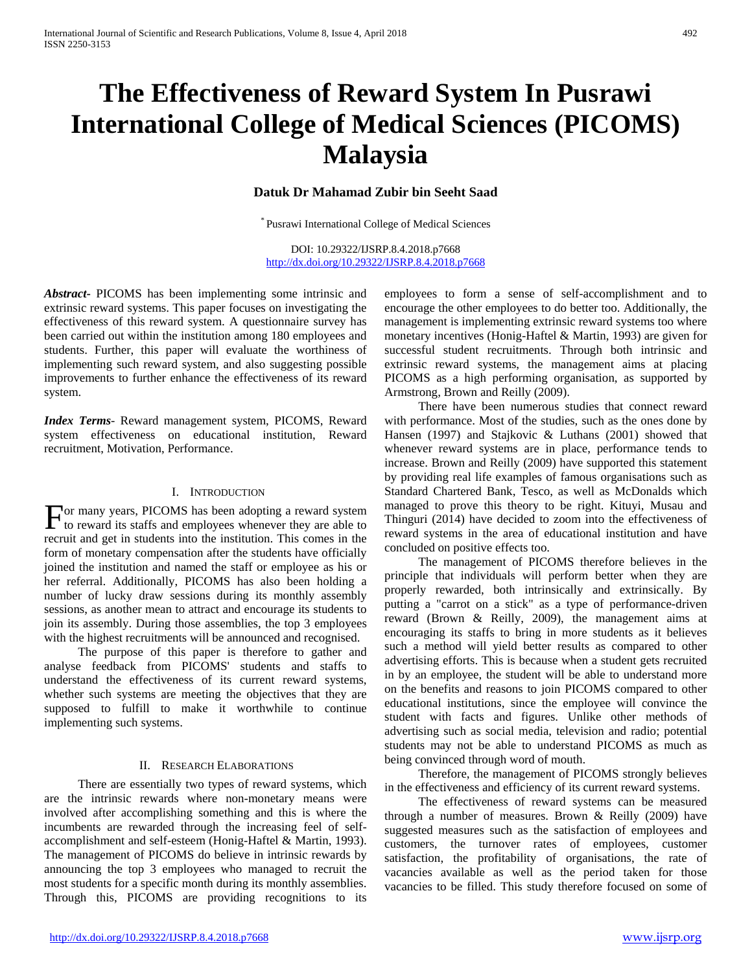# **The Effectiveness of Reward System In Pusrawi International College of Medical Sciences (PICOMS) Malaysia**

#### **Datuk Dr Mahamad Zubir bin Seeht Saad**

\* Pusrawi International College of Medical Sciences

DOI: 10.29322/IJSRP.8.4.2018.p7668 <http://dx.doi.org/10.29322/IJSRP.8.4.2018.p7668>

*Abstract***-** PICOMS has been implementing some intrinsic and extrinsic reward systems. This paper focuses on investigating the effectiveness of this reward system. A questionnaire survey has been carried out within the institution among 180 employees and students. Further, this paper will evaluate the worthiness of implementing such reward system, and also suggesting possible improvements to further enhance the effectiveness of its reward system.

*Index Terms*- Reward management system, PICOMS, Reward system effectiveness on educational institution, Reward recruitment, Motivation, Performance.

#### I. INTRODUCTION

or many years, PICOMS has been adopting a reward system For many years, PICOMS has been adopting a reward system to reward its staffs and employees whenever they are able to recruit and get in students into the institution. This comes in the form of monetary compensation after the students have officially joined the institution and named the staff or employee as his or her referral. Additionally, PICOMS has also been holding a number of lucky draw sessions during its monthly assembly sessions, as another mean to attract and encourage its students to join its assembly. During those assemblies, the top 3 employees with the highest recruitments will be announced and recognised.

 The purpose of this paper is therefore to gather and analyse feedback from PICOMS' students and staffs to understand the effectiveness of its current reward systems, whether such systems are meeting the objectives that they are supposed to fulfill to make it worthwhile to continue implementing such systems.

#### II. RESEARCH ELABORATIONS

 There are essentially two types of reward systems, which are the intrinsic rewards where non-monetary means were involved after accomplishing something and this is where the incumbents are rewarded through the increasing feel of selfaccomplishment and self-esteem (Honig-Haftel & Martin, 1993). The management of PICOMS do believe in intrinsic rewards by announcing the top 3 employees who managed to recruit the most students for a specific month during its monthly assemblies. Through this, PICOMS are providing recognitions to its

employees to form a sense of self-accomplishment and to encourage the other employees to do better too. Additionally, the management is implementing extrinsic reward systems too where monetary incentives (Honig-Haftel & Martin, 1993) are given for successful student recruitments. Through both intrinsic and extrinsic reward systems, the management aims at placing PICOMS as a high performing organisation, as supported by Armstrong, Brown and Reilly (2009).

 There have been numerous studies that connect reward with performance. Most of the studies, such as the ones done by Hansen (1997) and Stajkovic & Luthans (2001) showed that whenever reward systems are in place, performance tends to increase. Brown and Reilly (2009) have supported this statement by providing real life examples of famous organisations such as Standard Chartered Bank, Tesco, as well as McDonalds which managed to prove this theory to be right. Kituyi, Musau and Thinguri (2014) have decided to zoom into the effectiveness of reward systems in the area of educational institution and have concluded on positive effects too.

 The management of PICOMS therefore believes in the principle that individuals will perform better when they are properly rewarded, both intrinsically and extrinsically. By putting a "carrot on a stick" as a type of performance-driven reward (Brown & Reilly, 2009), the management aims at encouraging its staffs to bring in more students as it believes such a method will yield better results as compared to other advertising efforts. This is because when a student gets recruited in by an employee, the student will be able to understand more on the benefits and reasons to join PICOMS compared to other educational institutions, since the employee will convince the student with facts and figures. Unlike other methods of advertising such as social media, television and radio; potential students may not be able to understand PICOMS as much as being convinced through word of mouth.

 Therefore, the management of PICOMS strongly believes in the effectiveness and efficiency of its current reward systems.

 The effectiveness of reward systems can be measured through a number of measures. Brown & Reilly (2009) have suggested measures such as the satisfaction of employees and customers, the turnover rates of employees, customer satisfaction, the profitability of organisations, the rate of vacancies available as well as the period taken for those vacancies to be filled. This study therefore focused on some of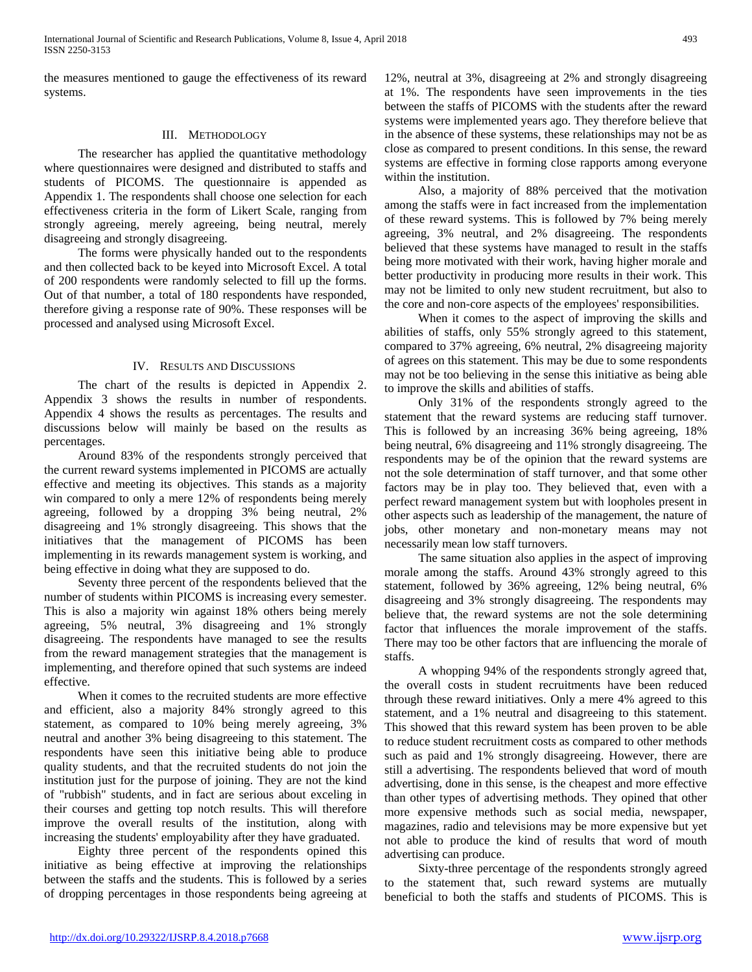the measures mentioned to gauge the effectiveness of its reward systems.

#### III. METHODOLOGY

 The researcher has applied the quantitative methodology where questionnaires were designed and distributed to staffs and students of PICOMS. The questionnaire is appended as Appendix 1. The respondents shall choose one selection for each effectiveness criteria in the form of Likert Scale, ranging from strongly agreeing, merely agreeing, being neutral, merely disagreeing and strongly disagreeing.

 The forms were physically handed out to the respondents and then collected back to be keyed into Microsoft Excel. A total of 200 respondents were randomly selected to fill up the forms. Out of that number, a total of 180 respondents have responded, therefore giving a response rate of 90%. These responses will be processed and analysed using Microsoft Excel.

#### IV. RESULTS AND DISCUSSIONS

 The chart of the results is depicted in Appendix 2. Appendix 3 shows the results in number of respondents. Appendix 4 shows the results as percentages. The results and discussions below will mainly be based on the results as percentages.

 Around 83% of the respondents strongly perceived that the current reward systems implemented in PICOMS are actually effective and meeting its objectives. This stands as a majority win compared to only a mere 12% of respondents being merely agreeing, followed by a dropping 3% being neutral, 2% disagreeing and 1% strongly disagreeing. This shows that the initiatives that the management of PICOMS has been implementing in its rewards management system is working, and being effective in doing what they are supposed to do.

 Seventy three percent of the respondents believed that the number of students within PICOMS is increasing every semester. This is also a majority win against 18% others being merely agreeing, 5% neutral, 3% disagreeing and 1% strongly disagreeing. The respondents have managed to see the results from the reward management strategies that the management is implementing, and therefore opined that such systems are indeed effective.

 When it comes to the recruited students are more effective and efficient, also a majority 84% strongly agreed to this statement, as compared to 10% being merely agreeing, 3% neutral and another 3% being disagreeing to this statement. The respondents have seen this initiative being able to produce quality students, and that the recruited students do not join the institution just for the purpose of joining. They are not the kind of "rubbish" students, and in fact are serious about exceling in their courses and getting top notch results. This will therefore improve the overall results of the institution, along with increasing the students' employability after they have graduated.

 Eighty three percent of the respondents opined this initiative as being effective at improving the relationships between the staffs and the students. This is followed by a series of dropping percentages in those respondents being agreeing at

12%, neutral at 3%, disagreeing at 2% and strongly disagreeing at 1%. The respondents have seen improvements in the ties between the staffs of PICOMS with the students after the reward systems were implemented years ago. They therefore believe that in the absence of these systems, these relationships may not be as close as compared to present conditions. In this sense, the reward systems are effective in forming close rapports among everyone within the institution.

 Also, a majority of 88% perceived that the motivation among the staffs were in fact increased from the implementation of these reward systems. This is followed by 7% being merely agreeing, 3% neutral, and 2% disagreeing. The respondents believed that these systems have managed to result in the staffs being more motivated with their work, having higher morale and better productivity in producing more results in their work. This may not be limited to only new student recruitment, but also to the core and non-core aspects of the employees' responsibilities.

 When it comes to the aspect of improving the skills and abilities of staffs, only 55% strongly agreed to this statement, compared to 37% agreeing, 6% neutral, 2% disagreeing majority of agrees on this statement. This may be due to some respondents may not be too believing in the sense this initiative as being able to improve the skills and abilities of staffs.

 Only 31% of the respondents strongly agreed to the statement that the reward systems are reducing staff turnover. This is followed by an increasing 36% being agreeing, 18% being neutral, 6% disagreeing and 11% strongly disagreeing. The respondents may be of the opinion that the reward systems are not the sole determination of staff turnover, and that some other factors may be in play too. They believed that, even with a perfect reward management system but with loopholes present in other aspects such as leadership of the management, the nature of jobs, other monetary and non-monetary means may not necessarily mean low staff turnovers.

 The same situation also applies in the aspect of improving morale among the staffs. Around 43% strongly agreed to this statement, followed by 36% agreeing, 12% being neutral, 6% disagreeing and 3% strongly disagreeing. The respondents may believe that, the reward systems are not the sole determining factor that influences the morale improvement of the staffs. There may too be other factors that are influencing the morale of staffs.

 A whopping 94% of the respondents strongly agreed that, the overall costs in student recruitments have been reduced through these reward initiatives. Only a mere 4% agreed to this statement, and a 1% neutral and disagreeing to this statement. This showed that this reward system has been proven to be able to reduce student recruitment costs as compared to other methods such as paid and 1% strongly disagreeing. However, there are still a advertising. The respondents believed that word of mouth advertising, done in this sense, is the cheapest and more effective than other types of advertising methods. They opined that other more expensive methods such as social media, newspaper, magazines, radio and televisions may be more expensive but yet not able to produce the kind of results that word of mouth advertising can produce.

 Sixty-three percentage of the respondents strongly agreed to the statement that, such reward systems are mutually beneficial to both the staffs and students of PICOMS. This is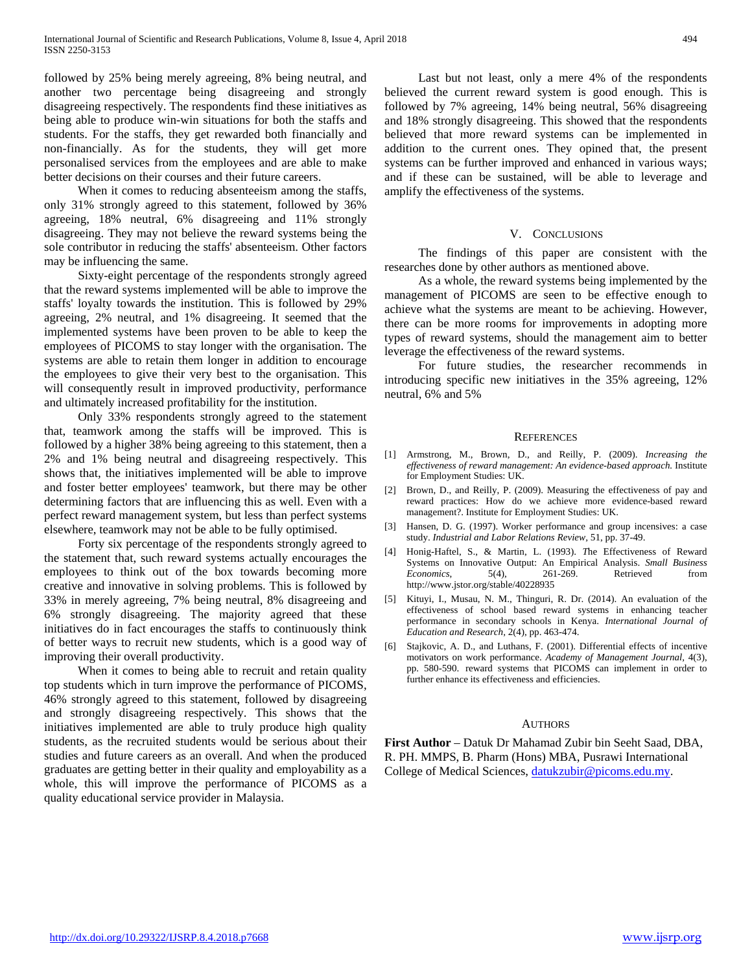followed by 25% being merely agreeing, 8% being neutral, and another two percentage being disagreeing and strongly disagreeing respectively. The respondents find these initiatives as being able to produce win-win situations for both the staffs and students. For the staffs, they get rewarded both financially and non-financially. As for the students, they will get more personalised services from the employees and are able to make better decisions on their courses and their future careers.

When it comes to reducing absenteeism among the staffs, only 31% strongly agreed to this statement, followed by 36% agreeing, 18% neutral, 6% disagreeing and 11% strongly disagreeing. They may not believe the reward systems being the sole contributor in reducing the staffs' absenteeism. Other factors may be influencing the same.

 Sixty-eight percentage of the respondents strongly agreed that the reward systems implemented will be able to improve the staffs' loyalty towards the institution. This is followed by 29% agreeing, 2% neutral, and 1% disagreeing. It seemed that the implemented systems have been proven to be able to keep the employees of PICOMS to stay longer with the organisation. The systems are able to retain them longer in addition to encourage the employees to give their very best to the organisation. This will consequently result in improved productivity, performance and ultimately increased profitability for the institution.

 Only 33% respondents strongly agreed to the statement that, teamwork among the staffs will be improved. This is followed by a higher 38% being agreeing to this statement, then a 2% and 1% being neutral and disagreeing respectively. This shows that, the initiatives implemented will be able to improve and foster better employees' teamwork, but there may be other determining factors that are influencing this as well. Even with a perfect reward management system, but less than perfect systems elsewhere, teamwork may not be able to be fully optimised.

 Forty six percentage of the respondents strongly agreed to the statement that, such reward systems actually encourages the employees to think out of the box towards becoming more creative and innovative in solving problems. This is followed by 33% in merely agreeing, 7% being neutral, 8% disagreeing and 6% strongly disagreeing. The majority agreed that these initiatives do in fact encourages the staffs to continuously think of better ways to recruit new students, which is a good way of improving their overall productivity.

 When it comes to being able to recruit and retain quality top students which in turn improve the performance of PICOMS, 46% strongly agreed to this statement, followed by disagreeing and strongly disagreeing respectively. This shows that the initiatives implemented are able to truly produce high quality students, as the recruited students would be serious about their studies and future careers as an overall. And when the produced graduates are getting better in their quality and employability as a whole, this will improve the performance of PICOMS as a quality educational service provider in Malaysia.

 Last but not least, only a mere 4% of the respondents believed the current reward system is good enough. This is followed by 7% agreeing, 14% being neutral, 56% disagreeing and 18% strongly disagreeing. This showed that the respondents believed that more reward systems can be implemented in addition to the current ones. They opined that, the present systems can be further improved and enhanced in various ways; and if these can be sustained, will be able to leverage and amplify the effectiveness of the systems.

#### V. CONCLUSIONS

 The findings of this paper are consistent with the researches done by other authors as mentioned above.

 As a whole, the reward systems being implemented by the management of PICOMS are seen to be effective enough to achieve what the systems are meant to be achieving. However, there can be more rooms for improvements in adopting more types of reward systems, should the management aim to better leverage the effectiveness of the reward systems.

 For future studies, the researcher recommends in introducing specific new initiatives in the 35% agreeing, 12% neutral, 6% and 5%

#### **REFERENCES**

- [1] Armstrong, M., Brown, D., and Reilly, P. (2009). *Increasing the effectiveness of reward management: An evidence-based approach.* Institute for Employment Studies: UK.
- [2] Brown, D., and Reilly, P. (2009). Measuring the effectiveness of pay and reward practices: How do we achieve more evidence-based reward management?. Institute for Employment Studies: UK.
- [3] Hansen, D. G. (1997). Worker performance and group incensives: a case study. *Industrial and Labor Relations Review,* 51, pp. 37-49.
- [4] Honig-Haftel, S., & Martin, L. (1993). *T*he Effectiveness of Reward Systems on Innovative Output: An Empirical Analysis. *Small Business Economics*, 5(4), 261-269. Retrieved from http://www.jstor.org/stable/40228935
- [5] Kituyi, I., Musau, N. M., Thinguri, R. Dr. (2014). An evaluation of the effectiveness of school based reward systems in enhancing teacher performance in secondary schools in Kenya. *International Journal of Education and Research,* 2(4), pp. 463-474.
- [6] Stajkovic, A. D., and Luthans, F. (2001). Differential effects of incentive motivators on work performance. *Academy of Management Journal,* 4(3), pp. 580-590. reward systems that PICOMS can implement in order to further enhance its effectiveness and efficiencies.

#### AUTHORS

**First Author** – Datuk Dr Mahamad Zubir bin Seeht Saad, DBA, R. PH. MMPS, B. Pharm (Hons) MBA, Pusrawi International College of Medical Sciences, [datukzubir@picoms.edu.my.](mailto:datukzubir@picoms.edu.my)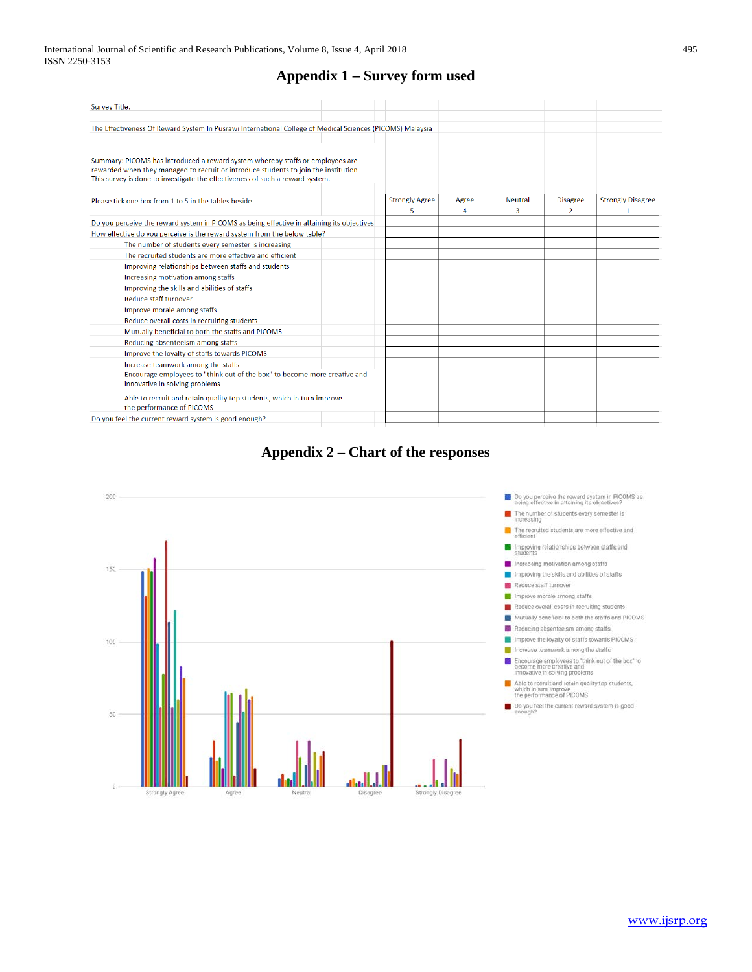### **Appendix 1 – Survey form used**

| <b>Survey Title:</b>                                                                                                                                                                                                                                    |  |  |                       |       |                |                 |                          |
|---------------------------------------------------------------------------------------------------------------------------------------------------------------------------------------------------------------------------------------------------------|--|--|-----------------------|-------|----------------|-----------------|--------------------------|
|                                                                                                                                                                                                                                                         |  |  |                       |       |                |                 |                          |
| The Effectiveness Of Reward System In Pusrawi International College of Medical Sciences (PICOMS) Malaysia                                                                                                                                               |  |  |                       |       |                |                 |                          |
|                                                                                                                                                                                                                                                         |  |  |                       |       |                |                 |                          |
| Summary: PICOMS has introduced a reward system whereby staffs or employees are<br>rewarded when they managed to recruit or introduce students to join the institution.<br>This survey is done to investigate the effectiveness of such a reward system. |  |  |                       |       |                |                 |                          |
| Please tick one box from 1 to 5 in the tables beside.                                                                                                                                                                                                   |  |  | <b>Strongly Agree</b> | Agree | <b>Neutral</b> | <b>Disagree</b> | <b>Strongly Disagree</b> |
|                                                                                                                                                                                                                                                         |  |  | 5.                    | 4     | 3              | $\overline{2}$  | 1                        |
| Do you perceive the reward system in PICOMS as being effective in attaining its objectives                                                                                                                                                              |  |  |                       |       |                |                 |                          |
| How effective do you perceive is the reward system from the below table?                                                                                                                                                                                |  |  |                       |       |                |                 |                          |
| The number of students every semester is increasing                                                                                                                                                                                                     |  |  |                       |       |                |                 |                          |
| The recruited students are more effective and efficient                                                                                                                                                                                                 |  |  |                       |       |                |                 |                          |
| Improving relationships between staffs and students                                                                                                                                                                                                     |  |  |                       |       |                |                 |                          |
| Increasing motivation among staffs                                                                                                                                                                                                                      |  |  |                       |       |                |                 |                          |
| Improving the skills and abilities of staffs                                                                                                                                                                                                            |  |  |                       |       |                |                 |                          |
| Reduce staff turnover                                                                                                                                                                                                                                   |  |  |                       |       |                |                 |                          |
| Improve morale among staffs                                                                                                                                                                                                                             |  |  |                       |       |                |                 |                          |
| Reduce overall costs in recruiting students                                                                                                                                                                                                             |  |  |                       |       |                |                 |                          |
| Mutually beneficial to both the staffs and PICOMS                                                                                                                                                                                                       |  |  |                       |       |                |                 |                          |
| Reducing absenteeism among staffs                                                                                                                                                                                                                       |  |  |                       |       |                |                 |                          |
| Improve the loyalty of staffs towards PICOMS                                                                                                                                                                                                            |  |  |                       |       |                |                 |                          |
| Increase teamwork among the staffs                                                                                                                                                                                                                      |  |  |                       |       |                |                 |                          |
| Encourage employees to "think out of the box" to become more creative and<br>innovative in solving problems                                                                                                                                             |  |  |                       |       |                |                 |                          |
| Able to recruit and retain quality top students, which in turn improve<br>the performance of PICOMS                                                                                                                                                     |  |  |                       |       |                |                 |                          |
| Do you feel the current reward system is good enough?                                                                                                                                                                                                   |  |  |                       |       |                |                 |                          |

**Appendix 2 – Chart of the responses**